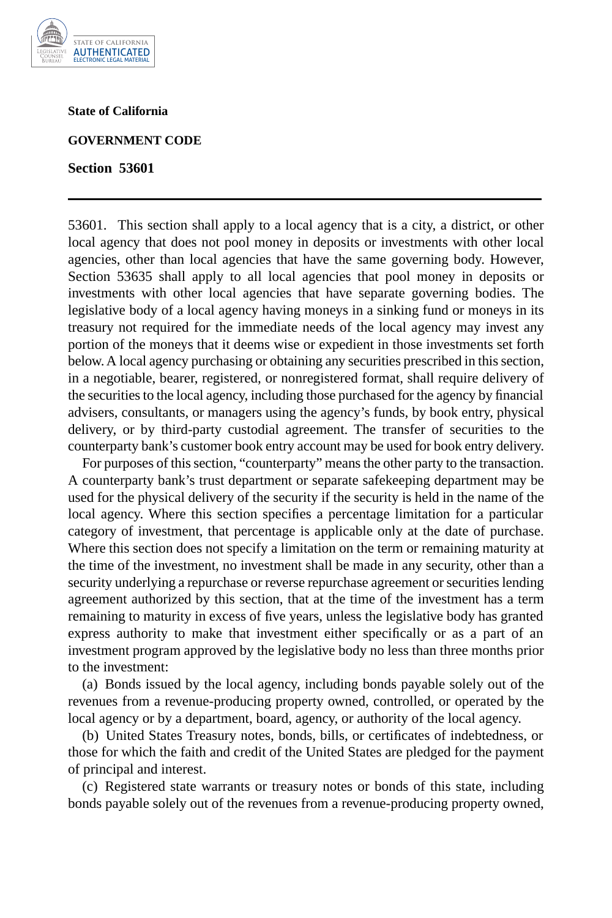

**State of California** 

## **GOVERNMENT CODE**

**Section 53601** 

53601. This section shall apply to a local agency that is a city, a district, or other local agency that does not pool money in deposits or investments with other local agencies, other than local agencies that have the same governing body. However, Section 53635 shall apply to all local agencies that pool money in deposits or investments with other local agencies that have separate governing bodies. The legislative body of a local agency having moneys in a sinking fund or moneys in its treasury not required for the immediate needs of the local agency may invest any portion of the moneys that it deems wise or expedient in those investments set forth below. A local agency purchasing or obtaining any securities prescribed in this section, in a negotiable, bearer, registered, or nonregistered format, shall require delivery of the securities to the local agency, including those purchased for the agency by financial advisers, consultants, or managers using the agency's funds, by book entry, physical delivery, or by third-party custodial agreement. The transfer of securities to the counterparty bank's customer book entry account may be used for book entry delivery.

For purposes of this section, "counterparty" means the other party to the transaction. A counterparty bank's trust department or separate safekeeping department may be used for the physical delivery of the security if the security is held in the name of the local agency. Where this section specifies a percentage limitation for a particular category of investment, that percentage is applicable only at the date of purchase. Where this section does not specify a limitation on the term or remaining maturity at the time of the investment, no investment shall be made in any security, other than a security underlying a repurchase or reverse repurchase agreement or securities lending agreement authorized by this section, that at the time of the investment has a term remaining to maturity in excess of five years, unless the legislative body has granted express authority to make that investment either specifically or as a part of an investment program approved by the legislative body no less than three months prior to the investment:

(a) Bonds issued by the local agency, including bonds payable solely out of the revenues from a revenue-producing property owned, controlled, or operated by the local agency or by a department, board, agency, or authority of the local agency.

(b) United States Treasury notes, bonds, bills, or certificates of indebtedness, or those for which the faith and credit of the United States are pledged for the payment of principal and interest.

(c) Registered state warrants or treasury notes or bonds of this state, including bonds payable solely out of the revenues from a revenue-producing property owned,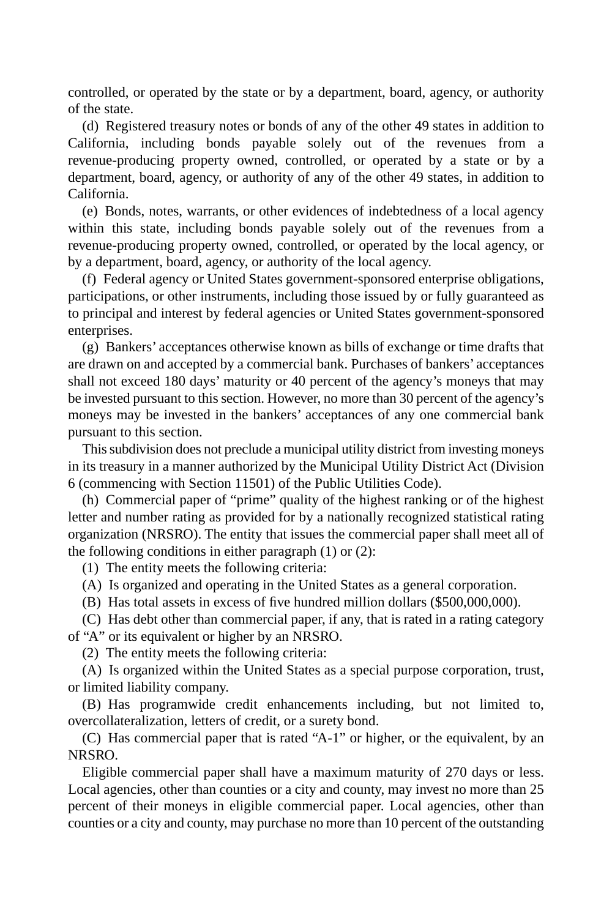controlled, or operated by the state or by a department, board, agency, or authority of the state.

(d) Registered treasury notes or bonds of any of the other 49 states in addition to California, including bonds payable solely out of the revenues from a revenue-producing property owned, controlled, or operated by a state or by a department, board, agency, or authority of any of the other 49 states, in addition to California.

(e) Bonds, notes, warrants, or other evidences of indebtedness of a local agency within this state, including bonds payable solely out of the revenues from a revenue-producing property owned, controlled, or operated by the local agency, or by a department, board, agency, or authority of the local agency.

(f) Federal agency or United States government-sponsored enterprise obligations, participations, or other instruments, including those issued by or fully guaranteed as to principal and interest by federal agencies or United States government-sponsored enterprises.

(g) Bankers' acceptances otherwise known as bills of exchange or time drafts that are drawn on and accepted by a commercial bank. Purchases of bankers' acceptances shall not exceed 180 days' maturity or 40 percent of the agency's moneys that may be invested pursuant to this section. However, no more than 30 percent of the agency's moneys may be invested in the bankers' acceptances of any one commercial bank pursuant to this section.

This subdivision does not preclude a municipal utility district from investing moneys in its treasury in a manner authorized by the Municipal Utility District Act (Division 6 (commencing with Section 11501) of the Public Utilities Code).

(h) Commercial paper of "prime" quality of the highest ranking or of the highest letter and number rating as provided for by a nationally recognized statistical rating organization (NRSRO). The entity that issues the commercial paper shall meet all of the following conditions in either paragraph (1) or (2):

(1) The entity meets the following criteria:

(A) Is organized and operating in the United States as a general corporation.

(B) Has total assets in excess of five hundred million dollars (\$500,000,000).

(C) Has debt other than commercial paper, if any, that is rated in a rating category of "A" or its equivalent or higher by an NRSRO.

(2) The entity meets the following criteria:

(A) Is organized within the United States as a special purpose corporation, trust, or limited liability company.

(B) Has programwide credit enhancements including, but not limited to, overcollateralization, letters of credit, or a surety bond.

(C) Has commercial paper that is rated "A-1" or higher, or the equivalent, by an NRSRO.

Eligible commercial paper shall have a maximum maturity of 270 days or less. Local agencies, other than counties or a city and county, may invest no more than 25 percent of their moneys in eligible commercial paper. Local agencies, other than counties or a city and county, may purchase no more than 10 percent of the outstanding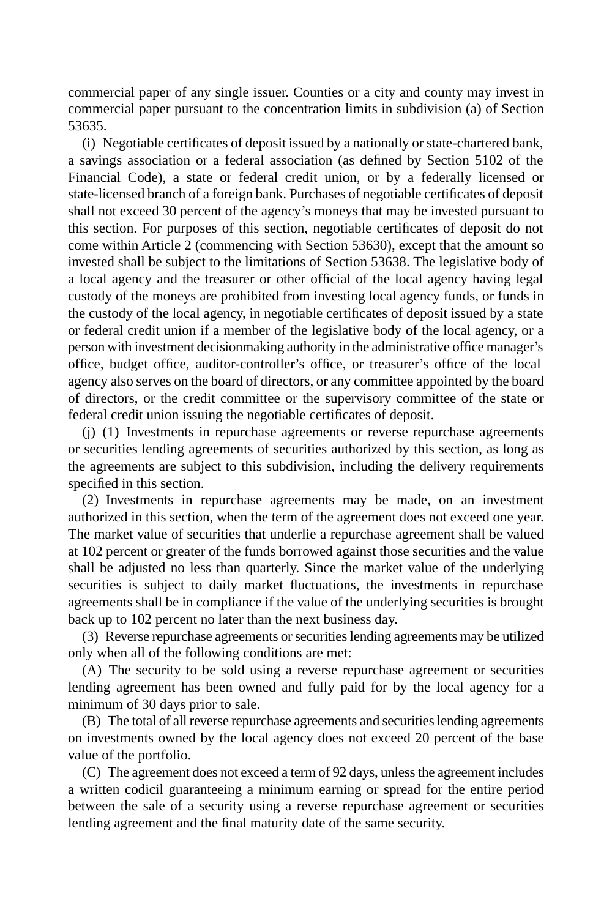commercial paper of any single issuer. Counties or a city and county may invest in commercial paper pursuant to the concentration limits in subdivision (a) of Section 53635.

(i) Negotiable certificates of deposit issued by a nationally or state-chartered bank, a savings association or a federal association (as defined by Section 5102 of the Financial Code), a state or federal credit union, or by a federally licensed or state-licensed branch of a foreign bank. Purchases of negotiable certificates of deposit shall not exceed 30 percent of the agency's moneys that may be invested pursuant to this section. For purposes of this section, negotiable certificates of deposit do not come within Article 2 (commencing with Section 53630), except that the amount so invested shall be subject to the limitations of Section 53638. The legislative body of a local agency and the treasurer or other official of the local agency having legal custody of the moneys are prohibited from investing local agency funds, or funds in the custody of the local agency, in negotiable certificates of deposit issued by a state or federal credit union if a member of the legislative body of the local agency, or a person with investment decisionmaking authority in the administrative office manager's office, budget office, auditor-controller's office, or treasurer's office of the local agency also serves on the board of directors, or any committee appointed by the board of directors, or the credit committee or the supervisory committee of the state or federal credit union issuing the negotiable certificates of deposit.

(j) (1) Investments in repurchase agreements or reverse repurchase agreements or securities lending agreements of securities authorized by this section, as long as the agreements are subject to this subdivision, including the delivery requirements specified in this section.

(2) Investments in repurchase agreements may be made, on an investment authorized in this section, when the term of the agreement does not exceed one year. The market value of securities that underlie a repurchase agreement shall be valued at 102 percent or greater of the funds borrowed against those securities and the value shall be adjusted no less than quarterly. Since the market value of the underlying securities is subject to daily market fluctuations, the investments in repurchase agreements shall be in compliance if the value of the underlying securities is brought back up to 102 percent no later than the next business day.

(3) Reverse repurchase agreements or securities lending agreements may be utilized only when all of the following conditions are met:

(A) The security to be sold using a reverse repurchase agreement or securities lending agreement has been owned and fully paid for by the local agency for a minimum of 30 days prior to sale.

(B) The total of all reverse repurchase agreements and securities lending agreements on investments owned by the local agency does not exceed 20 percent of the base value of the portfolio.

(C) The agreement does not exceed a term of 92 days, unless the agreement includes a written codicil guaranteeing a minimum earning or spread for the entire period between the sale of a security using a reverse repurchase agreement or securities lending agreement and the final maturity date of the same security.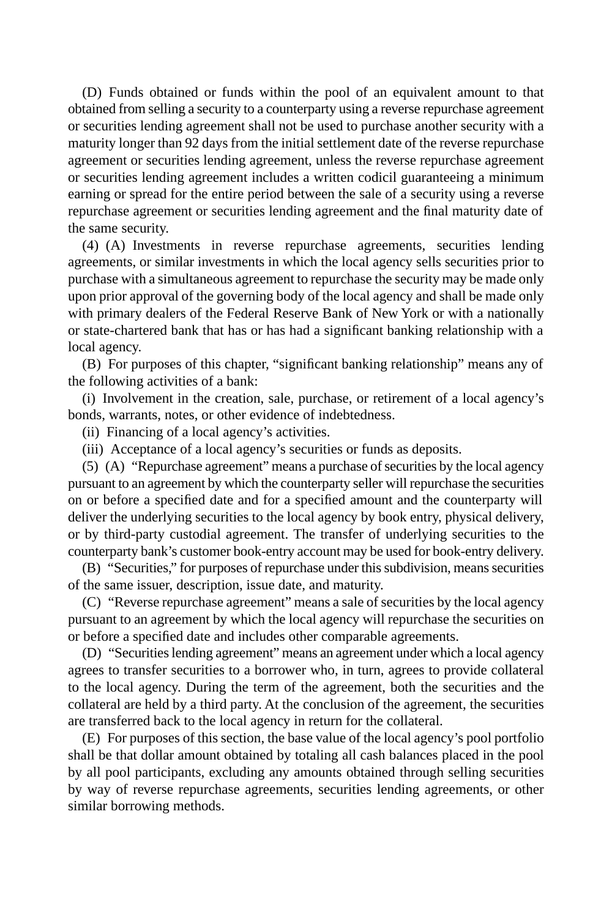(D) Funds obtained or funds within the pool of an equivalent amount to that obtained from selling a security to a counterparty using a reverse repurchase agreement or securities lending agreement shall not be used to purchase another security with a maturity longer than 92 days from the initial settlement date of the reverse repurchase agreement or securities lending agreement, unless the reverse repurchase agreement or securities lending agreement includes a written codicil guaranteeing a minimum earning or spread for the entire period between the sale of a security using a reverse repurchase agreement or securities lending agreement and the final maturity date of the same security.

(4) (A) Investments in reverse repurchase agreements, securities lending agreements, or similar investments in which the local agency sells securities prior to purchase with a simultaneous agreement to repurchase the security may be made only upon prior approval of the governing body of the local agency and shall be made only with primary dealers of the Federal Reserve Bank of New York or with a nationally or state-chartered bank that has or has had a significant banking relationship with a local agency.

(B) For purposes of this chapter, "significant banking relationship" means any of the following activities of a bank:

(i) Involvement in the creation, sale, purchase, or retirement of a local agency's bonds, warrants, notes, or other evidence of indebtedness.

(ii) Financing of a local agency's activities.

(iii) Acceptance of a local agency's securities or funds as deposits.

(5) (A) "Repurchase agreement" means a purchase of securities by the local agency pursuant to an agreement by which the counterparty seller will repurchase the securities on or before a specified date and for a specified amount and the counterparty will deliver the underlying securities to the local agency by book entry, physical delivery, or by third-party custodial agreement. The transfer of underlying securities to the counterparty bank's customer book-entry account may be used for book-entry delivery.

(B) "Securities," for purposes of repurchase under this subdivision, means securities of the same issuer, description, issue date, and maturity.

(C) "Reverse repurchase agreement" means a sale of securities by the local agency pursuant to an agreement by which the local agency will repurchase the securities on or before a specified date and includes other comparable agreements.

(D) "Securities lending agreement" means an agreement under which a local agency agrees to transfer securities to a borrower who, in turn, agrees to provide collateral to the local agency. During the term of the agreement, both the securities and the collateral are held by a third party. At the conclusion of the agreement, the securities are transferred back to the local agency in return for the collateral.

(E) For purposes of this section, the base value of the local agency's pool portfolio shall be that dollar amount obtained by totaling all cash balances placed in the pool by all pool participants, excluding any amounts obtained through selling securities by way of reverse repurchase agreements, securities lending agreements, or other similar borrowing methods.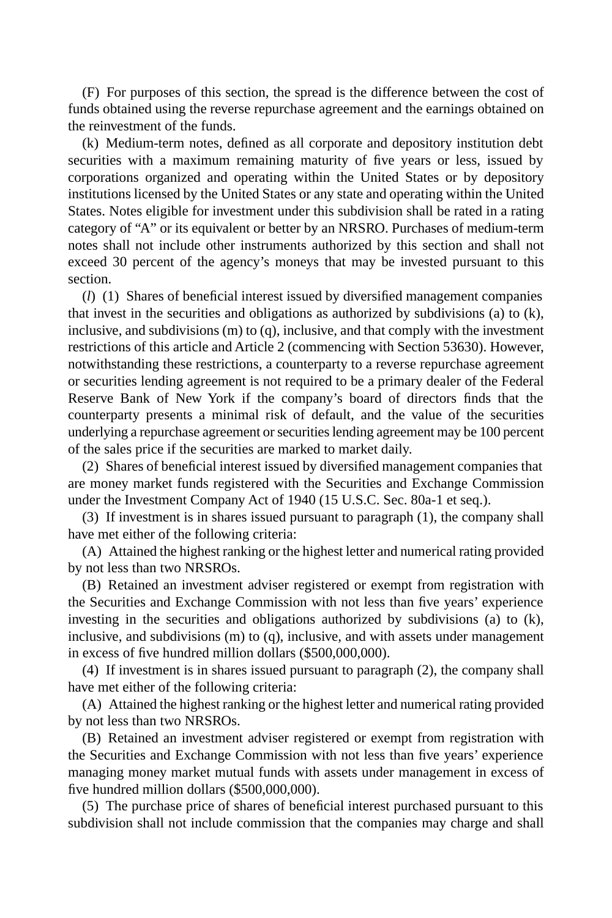(F) For purposes of this section, the spread is the difference between the cost of funds obtained using the reverse repurchase agreement and the earnings obtained on the reinvestment of the funds.

(k) Medium-term notes, defined as all corporate and depository institution debt securities with a maximum remaining maturity of five years or less, issued by corporations organized and operating within the United States or by depository institutions licensed by the United States or any state and operating within the United States. Notes eligible for investment under this subdivision shall be rated in a rating category of "A" or its equivalent or better by an NRSRO. Purchases of medium-term notes shall not include other instruments authorized by this section and shall not exceed 30 percent of the agency's moneys that may be invested pursuant to this section.

(*l*) (1) Shares of beneficial interest issued by diversified management companies that invest in the securities and obligations as authorized by subdivisions (a) to (k), inclusive, and subdivisions (m) to (q), inclusive, and that comply with the investment restrictions of this article and Article 2 (commencing with Section 53630). However, notwithstanding these restrictions, a counterparty to a reverse repurchase agreement or securities lending agreement is not required to be a primary dealer of the Federal Reserve Bank of New York if the company's board of directors finds that the counterparty presents a minimal risk of default, and the value of the securities underlying a repurchase agreement or securities lending agreement may be 100 percent of the sales price if the securities are marked to market daily.

(2) Shares of beneficial interest issued by diversified management companies that are money market funds registered with the Securities and Exchange Commission under the Investment Company Act of 1940 (15 U.S.C. Sec. 80a-1 et seq.).

(3) If investment is in shares issued pursuant to paragraph (1), the company shall have met either of the following criteria:

(A) Attained the highest ranking or the highest letter and numerical rating provided by not less than two NRSROs.

(B) Retained an investment adviser registered or exempt from registration with the Securities and Exchange Commission with not less than five years' experience investing in the securities and obligations authorized by subdivisions (a) to (k), inclusive, and subdivisions (m) to (q), inclusive, and with assets under management in excess of five hundred million dollars (\$500,000,000).

(4) If investment is in shares issued pursuant to paragraph (2), the company shall have met either of the following criteria:

(A) Attained the highest ranking or the highest letter and numerical rating provided by not less than two NRSROs.

(B) Retained an investment adviser registered or exempt from registration with the Securities and Exchange Commission with not less than five years' experience managing money market mutual funds with assets under management in excess of five hundred million dollars (\$500,000,000).

(5) The purchase price of shares of beneficial interest purchased pursuant to this subdivision shall not include commission that the companies may charge and shall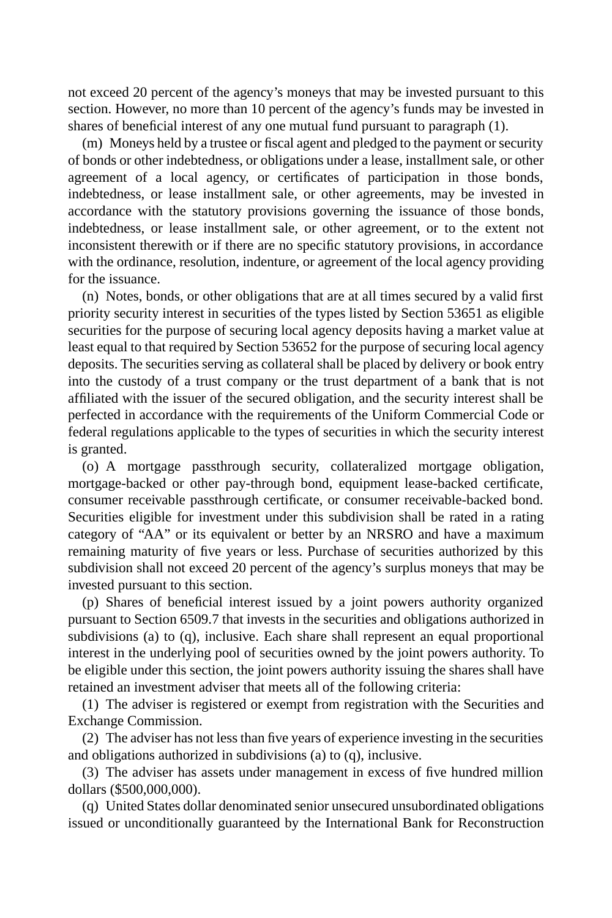not exceed 20 percent of the agency's moneys that may be invested pursuant to this section. However, no more than 10 percent of the agency's funds may be invested in shares of beneficial interest of any one mutual fund pursuant to paragraph (1).

(m) Moneys held by a trustee or fiscal agent and pledged to the payment or security of bonds or other indebtedness, or obligations under a lease, installment sale, or other agreement of a local agency, or certificates of participation in those bonds, indebtedness, or lease installment sale, or other agreements, may be invested in accordance with the statutory provisions governing the issuance of those bonds, indebtedness, or lease installment sale, or other agreement, or to the extent not inconsistent therewith or if there are no specific statutory provisions, in accordance with the ordinance, resolution, indenture, or agreement of the local agency providing for the issuance.

(n) Notes, bonds, or other obligations that are at all times secured by a valid first priority security interest in securities of the types listed by Section 53651 as eligible securities for the purpose of securing local agency deposits having a market value at least equal to that required by Section 53652 for the purpose of securing local agency deposits. The securities serving as collateral shall be placed by delivery or book entry into the custody of a trust company or the trust department of a bank that is not affiliated with the issuer of the secured obligation, and the security interest shall be perfected in accordance with the requirements of the Uniform Commercial Code or federal regulations applicable to the types of securities in which the security interest is granted.

(o) A mortgage passthrough security, collateralized mortgage obligation, mortgage-backed or other pay-through bond, equipment lease-backed certificate, consumer receivable passthrough certificate, or consumer receivable-backed bond. Securities eligible for investment under this subdivision shall be rated in a rating category of "AA" or its equivalent or better by an NRSRO and have a maximum remaining maturity of five years or less. Purchase of securities authorized by this subdivision shall not exceed 20 percent of the agency's surplus moneys that may be invested pursuant to this section.

(p) Shares of beneficial interest issued by a joint powers authority organized pursuant to Section 6509.7 that invests in the securities and obligations authorized in subdivisions (a) to (q), inclusive. Each share shall represent an equal proportional interest in the underlying pool of securities owned by the joint powers authority. To be eligible under this section, the joint powers authority issuing the shares shall have retained an investment adviser that meets all of the following criteria:

(1) The adviser is registered or exempt from registration with the Securities and Exchange Commission.

(2) The adviser has not less than five years of experience investing in the securities and obligations authorized in subdivisions (a) to (q), inclusive.

(3) The adviser has assets under management in excess of five hundred million dollars (\$500,000,000).

(q) United States dollar denominated senior unsecured unsubordinated obligations issued or unconditionally guaranteed by the International Bank for Reconstruction